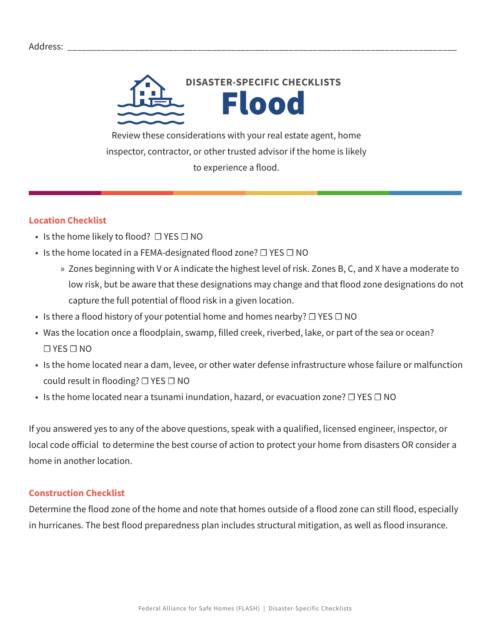

Review these considerations with your real estate agent, home inspector, contractor, or other trusted advisor if the home is likely to experience a flood.

## **Location Checklist**

- Is the home likely to flood?  $\Box$  YES  $\Box$  NO
- Is the home located in a FEMA-designated flood zone? □ YES □ NO
	- » Zones beginning with V or A indicate the highest level of risk. Zones B, C, and X have a moderate to low risk, but be aware that these designations may change and that flood zone designations do not capture the full potential of flood risk in a given location.
- Is there a flood history of your potential home and homes nearby?  $\Box$  YES  $\Box$  NO
- Was the location once a floodplain, swamp, filled creek, riverbed, lake, or part of the sea or ocean? ☐ YES ☐ NO
- Is the home located near a dam, levee, or other water defense infrastructure whose failure or malfunction could result in flooding?  $\Box$  YES  $\Box$  NO
- Is the home located near a tsunami inundation, hazard, or evacuation zone? □ YES □ NO

If you answered yes to any of the above questions, speak with a qualified, licensed engineer, inspector, or local code official to determine the best course of action to protect your home from disasters OR consider a home in another location.

## **Construction Checklist**

Determine the flood zone of the home and note that homes outside of a flood zone can still flood, especially in hurricanes. The best flood preparedness plan includes structural mitigation, as well as flood insurance.